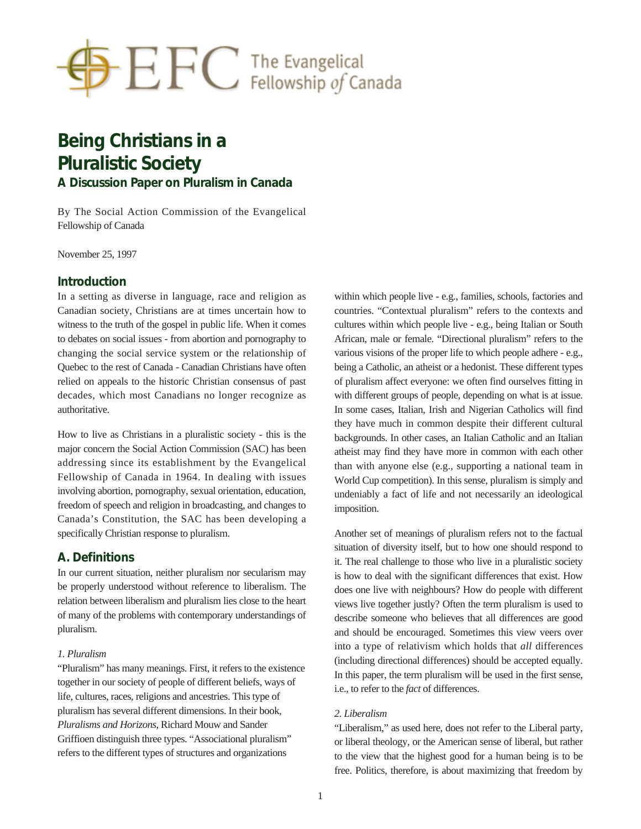

# **Being Christians in a Pluralistic Society A Discussion Paper on Pluralism in Canada**

By The Social Action Commission of the Evangelical Fellowship of Canada

November 25, 1997

# **Introduction**

In a setting as diverse in language, race and religion as Canadian society, Christians are at times uncertain how to witness to the truth of the gospel in public life. When it comes to debates on social issues - from abortion and pornography to changing the social service system or the relationship of Quebec to the rest of Canada - Canadian Christians have often relied on appeals to the historic Christian consensus of past decades, which most Canadians no longer recognize as authoritative.

How to live as Christians in a pluralistic society - this is the major concern the Social Action Commission (SAC) has been addressing since its establishment by the Evangelical Fellowship of Canada in 1964. In dealing with issues involving abortion, pornography, sexual orientation, education, freedom of speech and religion in broadcasting, and changes to Canada's Constitution, the SAC has been developing a specifically Christian response to pluralism.

# **A. Definitions**

In our current situation, neither pluralism nor secularism may be properly understood without reference to liberalism. The relation between liberalism and pluralism lies close to the heart of many of the problems with contemporary understandings of pluralism.

#### *1. Pluralism*

"Pluralism" has many meanings. First, it refers to the existence together in our society of people of different beliefs, ways of life, cultures, races, religions and ancestries. This type of pluralism has several different dimensions. In their book, *Pluralisms and Horizons*, Richard Mouw and Sander Griffioen distinguish three types. "Associational pluralism" refers to the different types of structures and organizations

within which people live - e.g., families, schools, factories and countries. "Contextual pluralism" refers to the contexts and cultures within which people live - e.g., being Italian or South African, male or female. "Directional pluralism" refers to the various visions of the proper life to which people adhere - e.g., being a Catholic, an atheist or a hedonist. These different types of pluralism affect everyone: we often find ourselves fitting in with different groups of people, depending on what is at issue. In some cases, Italian, Irish and Nigerian Catholics will find they have much in common despite their different cultural backgrounds. In other cases, an Italian Catholic and an Italian atheist may find they have more in common with each other than with anyone else (e.g., supporting a national team in World Cup competition). In this sense, pluralism is simply and undeniably a fact of life and not necessarily an ideological imposition.

Another set of meanings of pluralism refers not to the factual situation of diversity itself, but to how one should respond to it. The real challenge to those who live in a pluralistic society is how to deal with the significant differences that exist. How does one live with neighbours? How do people with different views live together justly? Often the term pluralism is used to describe someone who believes that all differences are good and should be encouraged. Sometimes this view veers over into a type of relativism which holds that *all* differences (including directional differences) should be accepted equally. In this paper, the term pluralism will be used in the first sense, i.e., to refer to the *fact* of differences.

## *2. Liberalism*

"Liberalism," as used here, does not refer to the Liberal party, or liberal theology, or the American sense of liberal, but rather to the view that the highest good for a human being is to be free. Politics, therefore, is about maximizing that freedom by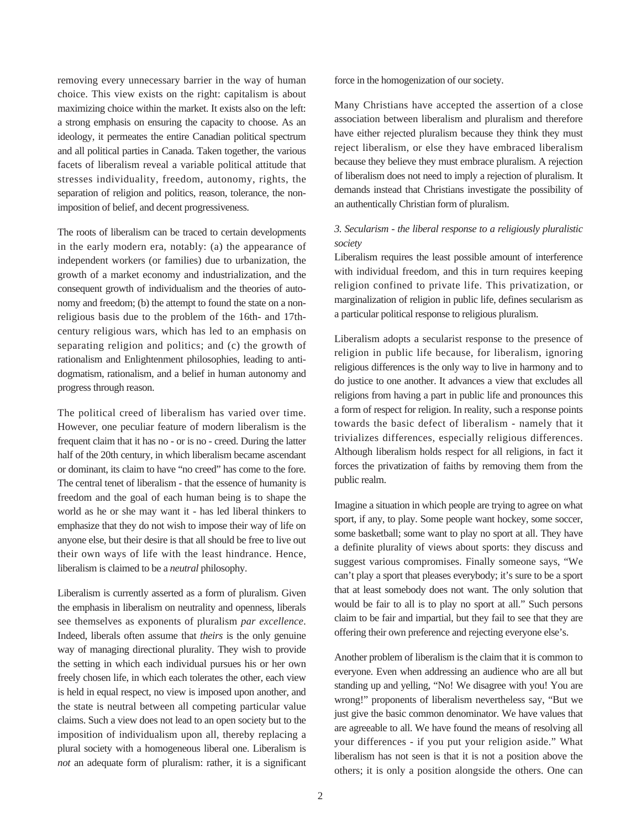removing every unnecessary barrier in the way of human choice. This view exists on the right: capitalism is about maximizing choice within the market. It exists also on the left: a strong emphasis on ensuring the capacity to choose. As an ideology, it permeates the entire Canadian political spectrum and all political parties in Canada. Taken together, the various facets of liberalism reveal a variable political attitude that stresses individuality, freedom, autonomy, rights, the separation of religion and politics, reason, tolerance, the nonimposition of belief, and decent progressiveness.

The roots of liberalism can be traced to certain developments in the early modern era, notably: (a) the appearance of independent workers (or families) due to urbanization, the growth of a market economy and industrialization, and the consequent growth of individualism and the theories of autonomy and freedom; (b) the attempt to found the state on a nonreligious basis due to the problem of the 16th- and 17thcentury religious wars, which has led to an emphasis on separating religion and politics; and (c) the growth of rationalism and Enlightenment philosophies, leading to antidogmatism, rationalism, and a belief in human autonomy and progress through reason.

The political creed of liberalism has varied over time. However, one peculiar feature of modern liberalism is the frequent claim that it has no - or is no - creed. During the latter half of the 20th century, in which liberalism became ascendant or dominant, its claim to have "no creed" has come to the fore. The central tenet of liberalism - that the essence of humanity is freedom and the goal of each human being is to shape the world as he or she may want it - has led liberal thinkers to emphasize that they do not wish to impose their way of life on anyone else, but their desire is that all should be free to live out their own ways of life with the least hindrance. Hence, liberalism is claimed to be a *neutral* philosophy.

Liberalism is currently asserted as a form of pluralism. Given the emphasis in liberalism on neutrality and openness, liberals see themselves as exponents of pluralism *par excellence*. Indeed, liberals often assume that *theirs* is the only genuine way of managing directional plurality. They wish to provide the setting in which each individual pursues his or her own freely chosen life, in which each tolerates the other, each view is held in equal respect, no view is imposed upon another, and the state is neutral between all competing particular value claims. Such a view does not lead to an open society but to the imposition of individualism upon all, thereby replacing a plural society with a homogeneous liberal one. Liberalism is *not* an adequate form of pluralism: rather, it is a significant force in the homogenization of our society.

Many Christians have accepted the assertion of a close association between liberalism and pluralism and therefore have either rejected pluralism because they think they must reject liberalism, or else they have embraced liberalism because they believe they must embrace pluralism. A rejection of liberalism does not need to imply a rejection of pluralism. It demands instead that Christians investigate the possibility of an authentically Christian form of pluralism.

## *3. Secularism - the liberal response to a religiously pluralistic society*

Liberalism requires the least possible amount of interference with individual freedom, and this in turn requires keeping religion confined to private life. This privatization, or marginalization of religion in public life, defines secularism as a particular political response to religious pluralism.

Liberalism adopts a secularist response to the presence of religion in public life because, for liberalism, ignoring religious differences is the only way to live in harmony and to do justice to one another. It advances a view that excludes all religions from having a part in public life and pronounces this a form of respect for religion. In reality, such a response points towards the basic defect of liberalism - namely that it trivializes differences, especially religious differences. Although liberalism holds respect for all religions, in fact it forces the privatization of faiths by removing them from the public realm.

Imagine a situation in which people are trying to agree on what sport, if any, to play. Some people want hockey, some soccer, some basketball; some want to play no sport at all. They have a definite plurality of views about sports: they discuss and suggest various compromises. Finally someone says, "We can't play a sport that pleases everybody; it's sure to be a sport that at least somebody does not want. The only solution that would be fair to all is to play no sport at all." Such persons claim to be fair and impartial, but they fail to see that they are offering their own preference and rejecting everyone else's.

Another problem of liberalism is the claim that it is common to everyone. Even when addressing an audience who are all but standing up and yelling, "No! We disagree with you! You are wrong!" proponents of liberalism nevertheless say, "But we just give the basic common denominator. We have values that are agreeable to all. We have found the means of resolving all your differences - if you put your religion aside." What liberalism has not seen is that it is not a position above the others; it is only a position alongside the others. One can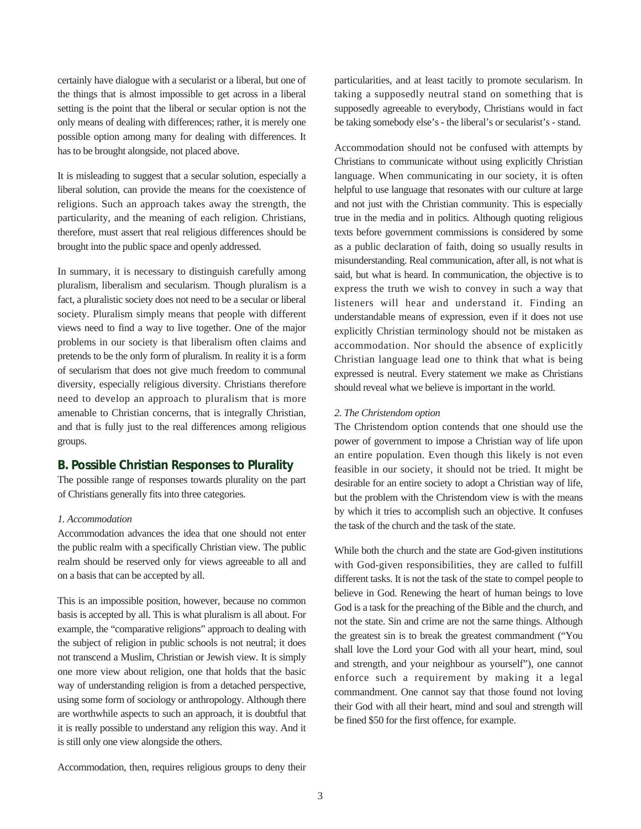certainly have dialogue with a secularist or a liberal, but one of the things that is almost impossible to get across in a liberal setting is the point that the liberal or secular option is not the only means of dealing with differences; rather, it is merely one possible option among many for dealing with differences. It has to be brought alongside, not placed above.

It is misleading to suggest that a secular solution, especially a liberal solution, can provide the means for the coexistence of religions. Such an approach takes away the strength, the particularity, and the meaning of each religion. Christians, therefore, must assert that real religious differences should be brought into the public space and openly addressed.

In summary, it is necessary to distinguish carefully among pluralism, liberalism and secularism. Though pluralism is a fact, a pluralistic society does not need to be a secular or liberal society. Pluralism simply means that people with different views need to find a way to live together. One of the major problems in our society is that liberalism often claims and pretends to be the only form of pluralism. In reality it is a form of secularism that does not give much freedom to communal diversity, especially religious diversity. Christians therefore need to develop an approach to pluralism that is more amenable to Christian concerns, that is integrally Christian, and that is fully just to the real differences among religious groups.

# **B. Possible Christian Responses to Plurality**

The possible range of responses towards plurality on the part of Christians generally fits into three categories.

## *1. Accommodation*

Accommodation advances the idea that one should not enter the public realm with a specifically Christian view. The public realm should be reserved only for views agreeable to all and on a basis that can be accepted by all.

This is an impossible position, however, because no common basis is accepted by all. This is what pluralism is all about. For example, the "comparative religions" approach to dealing with the subject of religion in public schools is not neutral; it does not transcend a Muslim, Christian or Jewish view. It is simply one more view about religion, one that holds that the basic way of understanding religion is from a detached perspective, using some form of sociology or anthropology. Although there are worthwhile aspects to such an approach, it is doubtful that it is really possible to understand any religion this way. And it is still only one view alongside the others.

particularities, and at least tacitly to promote secularism. In taking a supposedly neutral stand on something that is supposedly agreeable to everybody, Christians would in fact be taking somebody else's - the liberal's or secularist's - stand.

Accommodation should not be confused with attempts by Christians to communicate without using explicitly Christian language. When communicating in our society, it is often helpful to use language that resonates with our culture at large and not just with the Christian community. This is especially true in the media and in politics. Although quoting religious texts before government commissions is considered by some as a public declaration of faith, doing so usually results in misunderstanding. Real communication, after all, is not what is said, but what is heard. In communication, the objective is to express the truth we wish to convey in such a way that listeners will hear and understand it. Finding an understandable means of expression, even if it does not use explicitly Christian terminology should not be mistaken as accommodation. Nor should the absence of explicitly Christian language lead one to think that what is being expressed is neutral. Every statement we make as Christians should reveal what we believe is important in the world.

#### *2. The Christendom option*

The Christendom option contends that one should use the power of government to impose a Christian way of life upon an entire population. Even though this likely is not even feasible in our society, it should not be tried. It might be desirable for an entire society to adopt a Christian way of life, but the problem with the Christendom view is with the means by which it tries to accomplish such an objective. It confuses the task of the church and the task of the state.

While both the church and the state are God-given institutions with God-given responsibilities, they are called to fulfill different tasks. It is not the task of the state to compel people to believe in God. Renewing the heart of human beings to love God is a task for the preaching of the Bible and the church, and not the state. Sin and crime are not the same things. Although the greatest sin is to break the greatest commandment ("You shall love the Lord your God with all your heart, mind, soul and strength, and your neighbour as yourself"), one cannot enforce such a requirement by making it a legal commandment. One cannot say that those found not loving their God with all their heart, mind and soul and strength will be fined \$50 for the first offence, for example.

Accommodation, then, requires religious groups to deny their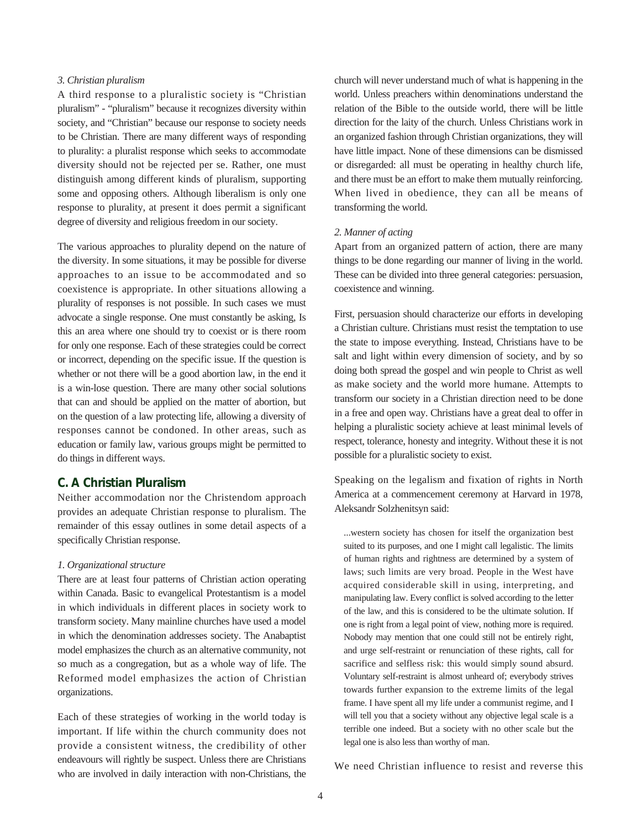### *3. Christian pluralism*

A third response to a pluralistic society is "Christian pluralism" - "pluralism" because it recognizes diversity within society, and "Christian" because our response to society needs to be Christian. There are many different ways of responding to plurality: a pluralist response which seeks to accommodate diversity should not be rejected per se. Rather, one must distinguish among different kinds of pluralism, supporting some and opposing others. Although liberalism is only one response to plurality, at present it does permit a significant degree of diversity and religious freedom in our society.

The various approaches to plurality depend on the nature of the diversity. In some situations, it may be possible for diverse approaches to an issue to be accommodated and so coexistence is appropriate. In other situations allowing a plurality of responses is not possible. In such cases we must advocate a single response. One must constantly be asking, Is this an area where one should try to coexist or is there room for only one response. Each of these strategies could be correct or incorrect, depending on the specific issue. If the question is whether or not there will be a good abortion law, in the end it is a win-lose question. There are many other social solutions that can and should be applied on the matter of abortion, but on the question of a law protecting life, allowing a diversity of responses cannot be condoned. In other areas, such as education or family law, various groups might be permitted to do things in different ways.

# **C. A Christian Pluralism**

Neither accommodation nor the Christendom approach provides an adequate Christian response to pluralism. The remainder of this essay outlines in some detail aspects of a specifically Christian response.

#### *1. Organizational structure*

There are at least four patterns of Christian action operating within Canada. Basic to evangelical Protestantism is a model in which individuals in different places in society work to transform society. Many mainline churches have used a model in which the denomination addresses society. The Anabaptist model emphasizes the church as an alternative community, not so much as a congregation, but as a whole way of life. The Reformed model emphasizes the action of Christian organizations.

Each of these strategies of working in the world today is important. If life within the church community does not provide a consistent witness, the credibility of other endeavours will rightly be suspect. Unless there are Christians who are involved in daily interaction with non-Christians, the

church will never understand much of what is happening in the world. Unless preachers within denominations understand the relation of the Bible to the outside world, there will be little direction for the laity of the church. Unless Christians work in an organized fashion through Christian organizations, they will have little impact. None of these dimensions can be dismissed or disregarded: all must be operating in healthy church life, and there must be an effort to make them mutually reinforcing. When lived in obedience, they can all be means of transforming the world.

#### *2. Manner of acting*

Apart from an organized pattern of action, there are many things to be done regarding our manner of living in the world. These can be divided into three general categories: persuasion, coexistence and winning.

First, persuasion should characterize our efforts in developing a Christian culture. Christians must resist the temptation to use the state to impose everything. Instead, Christians have to be salt and light within every dimension of society, and by so doing both spread the gospel and win people to Christ as well as make society and the world more humane. Attempts to transform our society in a Christian direction need to be done in a free and open way. Christians have a great deal to offer in helping a pluralistic society achieve at least minimal levels of respect, tolerance, honesty and integrity. Without these it is not possible for a pluralistic society to exist.

Speaking on the legalism and fixation of rights in North America at a commencement ceremony at Harvard in 1978, Aleksandr Solzhenitsyn said:

...western society has chosen for itself the organization best suited to its purposes, and one I might call legalistic. The limits of human rights and rightness are determined by a system of laws; such limits are very broad. People in the West have acquired considerable skill in using, interpreting, and manipulating law. Every conflict is solved according to the letter of the law, and this is considered to be the ultimate solution. If one is right from a legal point of view, nothing more is required. Nobody may mention that one could still not be entirely right, and urge self-restraint or renunciation of these rights, call for sacrifice and selfless risk: this would simply sound absurd. Voluntary self-restraint is almost unheard of; everybody strives towards further expansion to the extreme limits of the legal frame. I have spent all my life under a communist regime, and I will tell you that a society without any objective legal scale is a terrible one indeed. But a society with no other scale but the legal one is also less than worthy of man.

We need Christian influence to resist and reverse this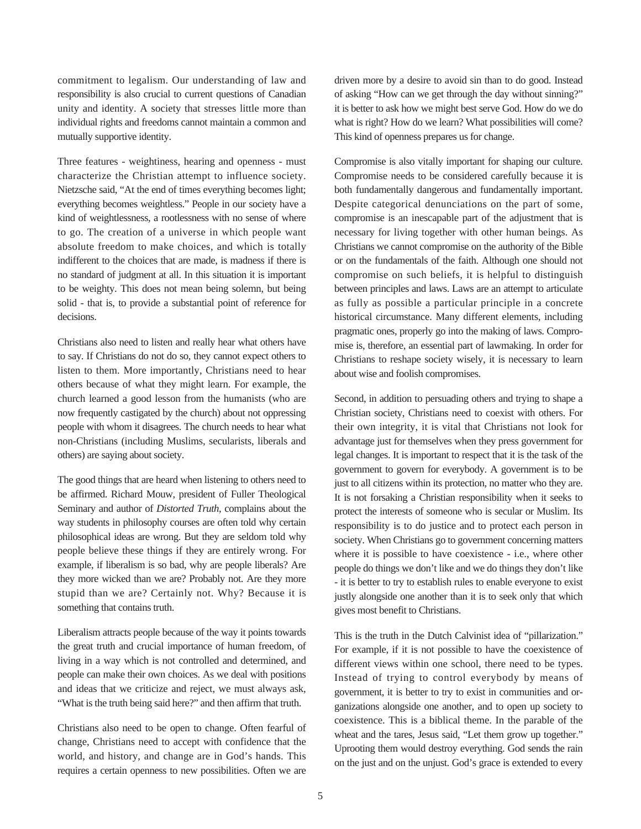commitment to legalism. Our understanding of law and responsibility is also crucial to current questions of Canadian unity and identity. A society that stresses little more than individual rights and freedoms cannot maintain a common and mutually supportive identity.

Three features - weightiness, hearing and openness - must characterize the Christian attempt to influence society. Nietzsche said, "At the end of times everything becomes light; everything becomes weightless." People in our society have a kind of weightlessness, a rootlessness with no sense of where to go. The creation of a universe in which people want absolute freedom to make choices, and which is totally indifferent to the choices that are made, is madness if there is no standard of judgment at all. In this situation it is important to be weighty. This does not mean being solemn, but being solid - that is, to provide a substantial point of reference for decisions.

Christians also need to listen and really hear what others have to say. If Christians do not do so, they cannot expect others to listen to them. More importantly, Christians need to hear others because of what they might learn. For example, the church learned a good lesson from the humanists (who are now frequently castigated by the church) about not oppressing people with whom it disagrees. The church needs to hear what non-Christians (including Muslims, secularists, liberals and others) are saying about society.

The good things that are heard when listening to others need to be affirmed. Richard Mouw, president of Fuller Theological Seminary and author of *Distorted Truth*, complains about the way students in philosophy courses are often told why certain philosophical ideas are wrong. But they are seldom told why people believe these things if they are entirely wrong. For example, if liberalism is so bad, why are people liberals? Are they more wicked than we are? Probably not. Are they more stupid than we are? Certainly not. Why? Because it is something that contains truth.

Liberalism attracts people because of the way it points towards the great truth and crucial importance of human freedom, of living in a way which is not controlled and determined, and people can make their own choices. As we deal with positions and ideas that we criticize and reject, we must always ask, "What is the truth being said here?" and then affirm that truth.

Christians also need to be open to change. Often fearful of change, Christians need to accept with confidence that the world, and history, and change are in God's hands. This requires a certain openness to new possibilities. Often we are

driven more by a desire to avoid sin than to do good. Instead of asking "How can we get through the day without sinning?" it is better to ask how we might best serve God. How do we do what is right? How do we learn? What possibilities will come? This kind of openness prepares us for change.

Compromise is also vitally important for shaping our culture. Compromise needs to be considered carefully because it is both fundamentally dangerous and fundamentally important. Despite categorical denunciations on the part of some, compromise is an inescapable part of the adjustment that is necessary for living together with other human beings. As Christians we cannot compromise on the authority of the Bible or on the fundamentals of the faith. Although one should not compromise on such beliefs, it is helpful to distinguish between principles and laws. Laws are an attempt to articulate as fully as possible a particular principle in a concrete historical circumstance. Many different elements, including pragmatic ones, properly go into the making of laws. Compromise is, therefore, an essential part of lawmaking. In order for Christians to reshape society wisely, it is necessary to learn about wise and foolish compromises.

Second, in addition to persuading others and trying to shape a Christian society, Christians need to coexist with others. For their own integrity, it is vital that Christians not look for advantage just for themselves when they press government for legal changes. It is important to respect that it is the task of the government to govern for everybody. A government is to be just to all citizens within its protection, no matter who they are. It is not forsaking a Christian responsibility when it seeks to protect the interests of someone who is secular or Muslim. Its responsibility is to do justice and to protect each person in society. When Christians go to government concerning matters where it is possible to have coexistence - i.e., where other people do things we don't like and we do things they don't like - it is better to try to establish rules to enable everyone to exist justly alongside one another than it is to seek only that which gives most benefit to Christians.

This is the truth in the Dutch Calvinist idea of "pillarization." For example, if it is not possible to have the coexistence of different views within one school, there need to be types. Instead of trying to control everybody by means of government, it is better to try to exist in communities and organizations alongside one another, and to open up society to coexistence. This is a biblical theme. In the parable of the wheat and the tares, Jesus said, "Let them grow up together." Uprooting them would destroy everything. God sends the rain on the just and on the unjust. God's grace is extended to every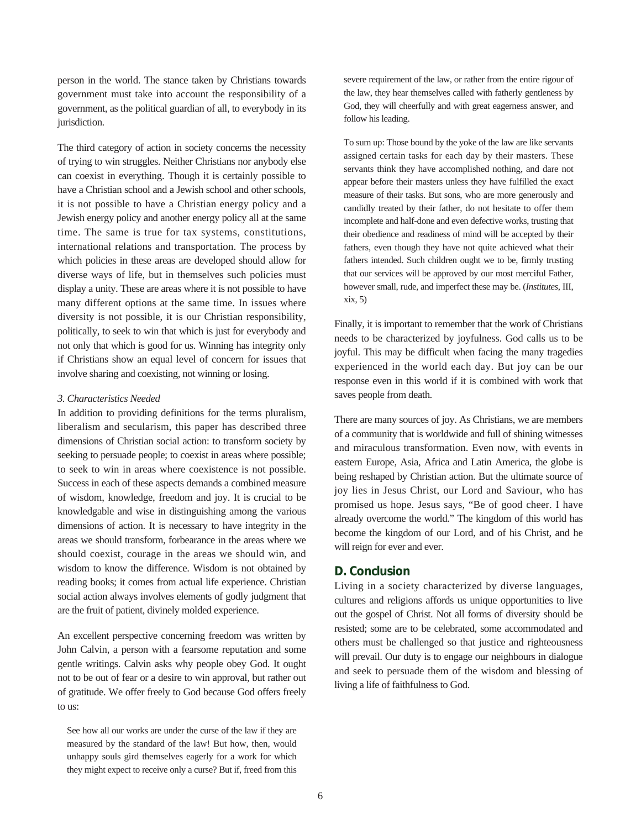person in the world. The stance taken by Christians towards government must take into account the responsibility of a government, as the political guardian of all, to everybody in its jurisdiction.

The third category of action in society concerns the necessity of trying to win struggles. Neither Christians nor anybody else can coexist in everything. Though it is certainly possible to have a Christian school and a Jewish school and other schools, it is not possible to have a Christian energy policy and a Jewish energy policy and another energy policy all at the same time. The same is true for tax systems, constitutions, international relations and transportation. The process by which policies in these areas are developed should allow for diverse ways of life, but in themselves such policies must display a unity. These are areas where it is not possible to have many different options at the same time. In issues where diversity is not possible, it is our Christian responsibility, politically, to seek to win that which is just for everybody and not only that which is good for us. Winning has integrity only if Christians show an equal level of concern for issues that involve sharing and coexisting, not winning or losing.

#### *3. Characteristics Needed*

In addition to providing definitions for the terms pluralism, liberalism and secularism, this paper has described three dimensions of Christian social action: to transform society by seeking to persuade people; to coexist in areas where possible; to seek to win in areas where coexistence is not possible. Success in each of these aspects demands a combined measure of wisdom, knowledge, freedom and joy. It is crucial to be knowledgable and wise in distinguishing among the various dimensions of action. It is necessary to have integrity in the areas we should transform, forbearance in the areas where we should coexist, courage in the areas we should win, and wisdom to know the difference. Wisdom is not obtained by reading books; it comes from actual life experience. Christian social action always involves elements of godly judgment that are the fruit of patient, divinely molded experience.

An excellent perspective concerning freedom was written by John Calvin, a person with a fearsome reputation and some gentle writings. Calvin asks why people obey God. It ought not to be out of fear or a desire to win approval, but rather out of gratitude. We offer freely to God because God offers freely to us:

See how all our works are under the curse of the law if they are measured by the standard of the law! But how, then, would unhappy souls gird themselves eagerly for a work for which they might expect to receive only a curse? But if, freed from this

severe requirement of the law, or rather from the entire rigour of the law, they hear themselves called with fatherly gentleness by God, they will cheerfully and with great eagerness answer, and follow his leading.

To sum up: Those bound by the yoke of the law are like servants assigned certain tasks for each day by their masters. These servants think they have accomplished nothing, and dare not appear before their masters unless they have fulfilled the exact measure of their tasks. But sons, who are more generously and candidly treated by their father, do not hesitate to offer them incomplete and half-done and even defective works, trusting that their obedience and readiness of mind will be accepted by their fathers, even though they have not quite achieved what their fathers intended. Such children ought we to be, firmly trusting that our services will be approved by our most merciful Father, however small, rude, and imperfect these may be. (*Institutes*, III, xix, 5)

Finally, it is important to remember that the work of Christians needs to be characterized by joyfulness. God calls us to be joyful. This may be difficult when facing the many tragedies experienced in the world each day. But joy can be our response even in this world if it is combined with work that saves people from death.

There are many sources of joy. As Christians, we are members of a community that is worldwide and full of shining witnesses and miraculous transformation. Even now, with events in eastern Europe, Asia, Africa and Latin America, the globe is being reshaped by Christian action. But the ultimate source of joy lies in Jesus Christ, our Lord and Saviour, who has promised us hope. Jesus says, "Be of good cheer. I have already overcome the world." The kingdom of this world has become the kingdom of our Lord, and of his Christ, and he will reign for ever and ever.

## **D. Conclusion**

Living in a society characterized by diverse languages, cultures and religions affords us unique opportunities to live out the gospel of Christ. Not all forms of diversity should be resisted; some are to be celebrated, some accommodated and others must be challenged so that justice and righteousness will prevail. Our duty is to engage our neighbours in dialogue and seek to persuade them of the wisdom and blessing of living a life of faithfulness to God.